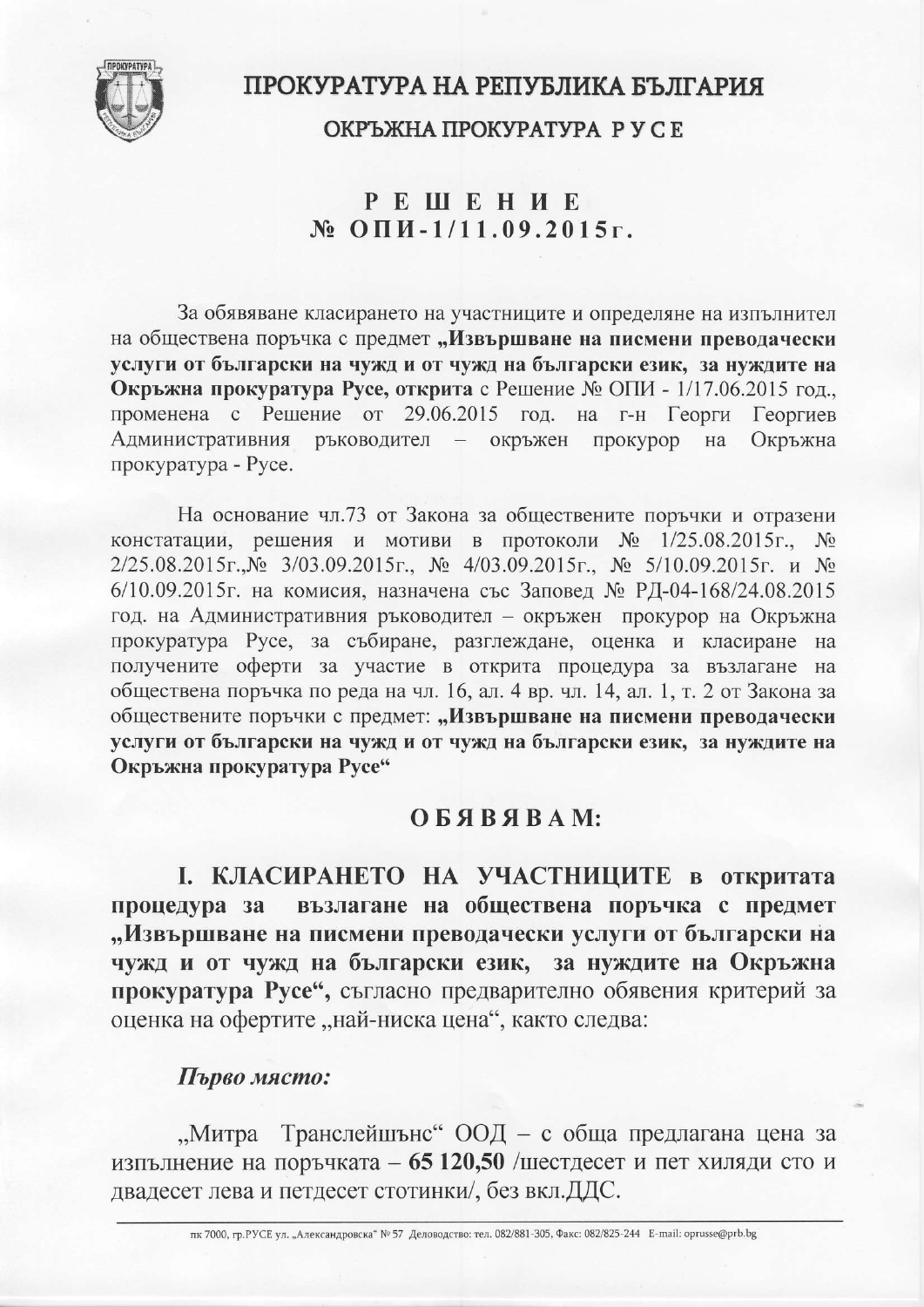

# ПРОКУРАТУРА НА РЕПУБЛИКА БЪЛГАРИЯ

ОКРЪЖНА ПРОКУРАТУРА РУСЕ

# **РЕШЕНИЕ**  $N_2$  O  $\Pi$   $M - 1/11.09.2015$  r.

За обявяване класирането на участниците и определяне на изпълнител на обществена поръчка с предмет "Извършване на писмени преводачески услуги от български на чужд и от чужд на български език, за нуждите на Окръжна прокуратура Русе, открита с Решение № ОПИ - 1/17.06.2015 год. променена с Решение от 29.06.2015 год. на г-н Георги Георгиев Административния ръководител – окръжен прокурор Окръжна на прокуратура - Русе.

На основание чл.73 от Закона за обществените поръчки и отразени констатации, решения и мотиви в протоколи № 1/25.08.2015г., № 2/25.08.2015г.,№ 3/03.09.2015г., № 4/03.09.2015г., № 5/10.09.2015г. и № 6/10.09.2015г. на комисия, назначена със Заповед № РД-04-168/24.08.2015 год. на Административния ръководител - окръжен прокурор на Окръжна прокуратура Русе, за събиране, разглеждане, оценка и класиране на получените оферти за участие в открита процедура за възлагане на обществена поръчка по реда на чл. 16, ал. 4 вр. чл. 14, ал. 1, т. 2 от Закона за обществените поръчки с предмет: "Извършване на писмени преводачески услуги от български на чужд и от чужд на български език, за нуждите на Окръжна прокуратура Русе"

## OБЯВЯВАМ:

І. КЛАСИРАНЕТО НА УЧАСТНИЦИТЕ в откритата възлагане на обществена поръчка с предмет процедура за "Извършване на писмени преводачески услуги от български на чужд и от чужд на български език, за нуждите на Окръжна прокуратура Русе", съгласно предварително обявения критерий за оценка на офертите "най-ниска цена", както следва:

### Първо място:

"Митра Транслейшънс" ООД - с обща предлагана цена за изпълнение на поръчката – 65 120,50 /шестдесет и пет хиляди сто и двадесет лева и петдесет стотинки/, без вкл.ДДС.